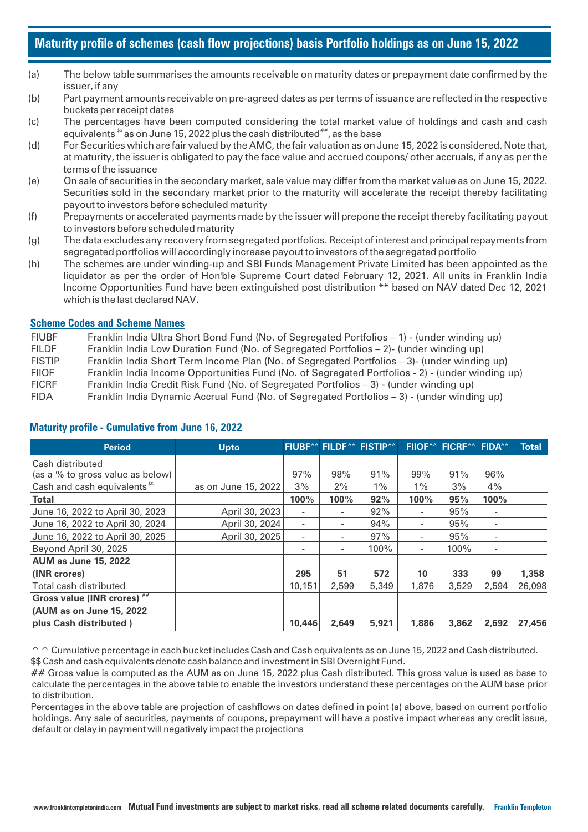# **Maturity profile of schemes (cash flow projections) basis Portfolio holdings as on June 15, 2022**

- (a) The below table summarises the amounts receivable on maturity dates or prepayment date confirmed by the issuer, if any
- (b) Part payment amounts receivable on pre-agreed dates as per terms of issuance are reflected in the respective buckets per receipt dates
- (c) The percentages have been computed considering the total market value of holdings and cash and cash equivalents  $\mathbb{S}^*$  as on June 15, 2022 plus the cash distributed  $\mathbb{S}^*$ , as the base
- (d) For Securities which are fair valued by the AMC, the fair valuation as on June 15, 2022 is considered. Note that, at maturity, the issuer is obligated to pay the face value and accrued coupons/ other accruals, if any as per the terms of the issuance
- (e) On sale of securities in the secondary market, sale value may differ from the market value as on June 15, 2022. Securities sold in the secondary market prior to the maturity will accelerate the receipt thereby facilitating payout to investors before scheduled maturity
- (f) Prepayments or accelerated payments made by the issuer will prepone the receipt thereby facilitating payout to investors before scheduled maturity
- (g) The data excludes any recovery from segregated portfolios. Receipt of interest and principal repayments from segregated portfolios will accordingly increase payout to investors of the segregated portfolio
- (h) The schemes are under winding-up and SBI Funds Management Private Limited has been appointed as the liquidator as per the order of Hon'ble Supreme Court dated February 12, 2021. All units in Franklin India Income Opportunities Fund have been extinguished post distribution \*\* based on NAV dated Dec 12, 2021 which is the last declared NAV.

# **Scheme Codes and Scheme Names**

| <b>FIUBF</b>  | Franklin India Ultra Short Bond Fund (No. of Segregated Portfolios – 1) - (under winding up)     |
|---------------|--------------------------------------------------------------------------------------------------|
| <b>FILDF</b>  | Franklin India Low Duration Fund (No. of Segregated Portfolios $-2$ )- (under winding up)        |
| <b>FISTIP</b> | Franklin India Short Term Income Plan (No. of Segregated Portfolios - 3)- (under winding up)     |
| <b>FIIOF</b>  | Franklin India Income Opportunities Fund (No. of Segregated Portfolios - 2) - (under winding up) |
| <b>FICRF</b>  | Franklin India Credit Risk Fund (No. of Segregated Portfolios - 3) - (under winding up)          |
|               |                                                                                                  |

FIDA Franklin India Dynamic Accrual Fund (No. of Segregated Portfolios – 3) - (under winding up)

| <b>Period</b>                             | <b>Upto</b>         |                          |                          | <b>FIUBF^^ FILDF^^ FISTIP^^</b> |       | <b>FIIOF<sup>^^</sup></b> FICRF <sup>^^</sup> | <b>FIDA<sup>^^</sup></b> | <b>Total</b> |
|-------------------------------------------|---------------------|--------------------------|--------------------------|---------------------------------|-------|-----------------------------------------------|--------------------------|--------------|
| Cash distributed                          |                     |                          |                          |                                 |       |                                               |                          |              |
| (as a % to gross value as below)          |                     | 97%                      | 98%                      | 91%                             | 99%   | 91%                                           | 96%                      |              |
| Cash and cash equivalents <sup>\$\$</sup> | as on June 15, 2022 | 3%                       | 2%                       | $1\%$                           | $1\%$ | 3%                                            | 4%                       |              |
| <b>Total</b>                              |                     | 100%                     | 100%                     | 92%                             | 100%  | 95%                                           | 100%                     |              |
| June 16, 2022 to April 30, 2023           | April 30, 2023      | ٠                        | ٠                        | 92%                             | ۰     | 95%                                           | $\overline{\phantom{a}}$ |              |
| June 16, 2022 to April 30, 2024           | April 30, 2024      | ٠                        | ٠                        | 94%                             | ٠     | 95%                                           | ٠                        |              |
| June 16, 2022 to April 30, 2025           | April 30, 2025      | ٠                        | $\overline{\phantom{a}}$ | 97%                             | ٠     | 95%                                           | ٠                        |              |
| Beyond April 30, 2025                     |                     | $\overline{\phantom{a}}$ |                          | 100%                            | ٠     | 100%                                          | ٠                        |              |
| <b>AUM as June 15, 2022</b>               |                     |                          |                          |                                 |       |                                               |                          |              |
| (INR crores)                              |                     | 295                      | 51                       | 572                             | 10    | 333                                           | 99                       | 1,358        |
| Total cash distributed                    |                     | 10,151                   | 2.599                    | 5,349                           | 1,876 | 3.529                                         | 2,594                    | 26,098       |
| Gross value (INR crores) ##               |                     |                          |                          |                                 |       |                                               |                          |              |
| (AUM as on June 15, 2022)                 |                     |                          |                          |                                 |       |                                               |                          |              |
| plus Cash distributed)                    |                     | 10,446                   | 2,649                    | 5,921                           | 1,886 | 3,862                                         | 2,692                    | 27,456       |

# **Maturity profile - Cumulative from June 16, 2022**

 $\hat{\ }$   $\hat{\ }$  Cumulative percentage in each bucket includes Cash and Cash equivalents as on June 15, 2022 and Cash distributed. \$\$ Cash and cash equivalents denote cash balance and investment in SBI Overnight Fund.

## Gross value is computed as the AUM as on June 15, 2022 plus Cash distributed. This gross value is used as base to calculate the percentages in the above table to enable the investors understand these percentages on the AUM base prior to distribution.

Percentages in the above table are projection of cashflows on dates defined in point (a) above, based on current portfolio holdings. Any sale of securities, payments of coupons, prepayment will have a postive impact whereas any credit issue, default or delay in payment will negatively impact the projections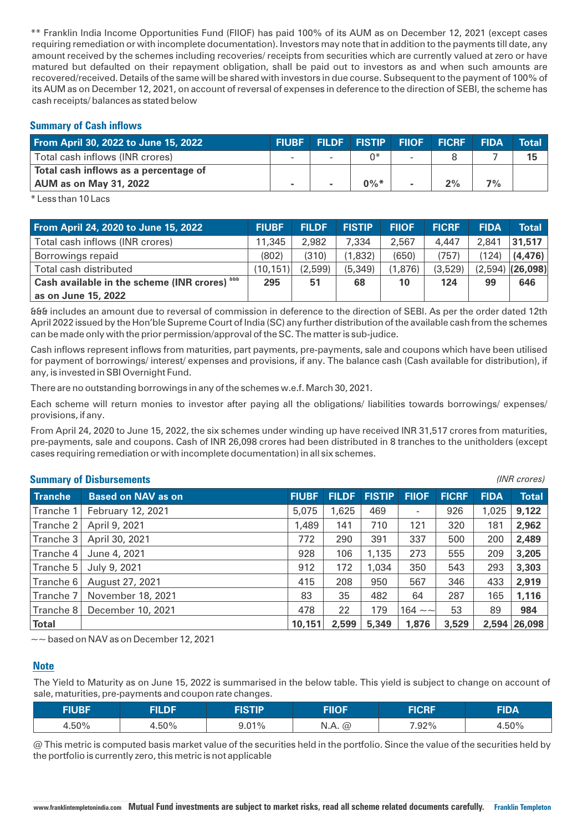\*\* Franklin India Income Opportunities Fund (FIIOF) has paid 100% of its AUM as on December 12, 2021 (except cases requiring remediation or with incomplete documentation). Investors may note that in addition to the payments till date, any amount received by the schemes including recoveries/ receipts from securities which are currently valued at zero or have matured but defaulted on their repayment obligation, shall be paid out to investors as and when such amounts are recovered/received. Details of the same will be shared with investors in due course. Subsequent to the payment of 100% of its AUM as on December 12, 2021, on account of reversal of expenses in deference to the direction of SEBI, the scheme has cash receipts/ balances as stated below

## **Summary of Cash inflows**

| From April 30, 2022 to June 15, 2022  | <b>FIUBF</b> |        | <b>FILDF FISTIP FIIOF</b> | <b>FICRF</b> | <b>FIDA</b> | <b>Total</b> |
|---------------------------------------|--------------|--------|---------------------------|--------------|-------------|--------------|
| Total cash inflows (INR crores)       |              | $\sim$ | ∩*                        |              |             | 15           |
| Total cash inflows as a percentage of |              |        |                           |              |             |              |
| <b>AUM as on May 31, 2022</b>         |              |        | $0\%$ *                   | 2%           | $7\%$       |              |

\* Less than 10 Lacs

| From April 24, 2020 to June 15, 2022            | <b>FIUBF</b> | <b>FILDF</b> | <b>FISTIP</b> | <b>FIIOF</b> | <b>FICRF</b> | <b>FIDA</b> | Total              |
|-------------------------------------------------|--------------|--------------|---------------|--------------|--------------|-------------|--------------------|
| Total cash inflows (INR crores)                 | 11,345       | 2,982        | 7,334         | 2,567        | 4,447        | 2.841       | 31,517             |
| Borrowings repaid                               | (802)        | (310)        | (1,832)       | (650)        | (757)        | (124)       | (4, 476)           |
| Total cash distributed                          | (10, 151)    | (2,599)      | (5, 349)      | (1,876)      | (3,529)      |             | $(2,594)$ (26,098) |
| Cash available in the scheme (INR crores) about | 295          | 51           | 68            | 10           | 124          | 99          | 646                |
| as on June 15, 2022                             |              |              |               |              |              |             |                    |

&&& includes an amount due to reversal of commission in deference to the direction of SEBI. As per the order dated 12th April 2022 issued by the Hon'ble Supreme Court of India (SC) any further distribution of the available cash from the schemes can be made only with the prior permission/approval of the SC. The matter is sub-judice.

Cash inflows represent inflows from maturities, part payments, pre-payments, sale and coupons which have been utilised for payment of borrowings/ interest/ expenses and provisions, if any. The balance cash (Cash available for distribution), if any, is invested in SBI Overnight Fund.

There are no outstanding borrowings in any of the schemes w.e.f. March 30, 2021.

Each scheme will return monies to investor after paying all the obligations/ liabilities towards borrowings/ expenses/ provisions, if any.

From April 24, 2020 to June 15, 2022, the six schemes under winding up have received INR 31,517 crores from maturities, pre-payments, sale and coupons. Cash of INR 26,098 crores had been distributed in 8 tranches to the unitholders (except cases requiring remediation or with incomplete documentation) in all six schemes.

*(INR crores)*

### **Summary of Disbursements**

|                | <b>UMINIMALY VI DISBUTSUNGHLS</b> |              |              |               |                   |              |             |              |
|----------------|-----------------------------------|--------------|--------------|---------------|-------------------|--------------|-------------|--------------|
| <b>Tranche</b> | <b>Based on NAV as on</b>         | <b>FIUBF</b> | <b>FILDF</b> | <b>FISTIP</b> | <b>FIIOF</b>      | <b>FICRF</b> | <b>FIDA</b> | <b>Total</b> |
| Tranche 1      | February 12, 2021                 | 5,075        | 1,625        | 469           | ٠                 | 926          | 1,025       | 9,122        |
| Tranche 2      | April 9, 2021                     | 1,489        | 141          | 710           | 121               | 320          | 181         | 2,962        |
| Tranche 3      | April 30, 2021                    | 772          | 290          | 391           | 337               | 500          | 200         | 2,489        |
| Tranche 4      | June 4, 2021                      | 928          | 106          | 1,135         | 273               | 555          | 209         | 3,205        |
| Tranche 5      | July 9, 2021                      | 912          | 172          | 1,034         | 350               | 543          | 293         | 3,303        |
| Tranche 6      | August 27, 2021                   | 415          | 208          | 950           | 567               | 346          | 433         | 2,919        |
| Tranche 7      | November 18, 2021                 | 83           | 35           | 482           | 64                | 287          | 165         | 1,116        |
| Tranche 8      | December 10, 2021                 | 478          | 22           | 179           | 164 $\sim$ $\sim$ | 53           | 89          | 984          |
| <b>Total</b>   |                                   | 10,151       | 2,599        | 5,349         | 1,876             | 3,529        |             | 2,594 26,098 |

 $\sim$  based on NAV as on December 12, 2021

## **Note**

The Yield to Maturity as on June 15, 2022 is summarised in the below table. This yield is subject to change on account of sale, maturities, pre-payments and coupon rate changes.

| <b>FIUBF</b> | FILDF | FISTIP   | FIIOF            | <b>FICRF</b> | <b>FIDA</b> |
|--------------|-------|----------|------------------|--------------|-------------|
| 4.50%        | .50%  | $9.01\%$ | N.A.<br>$\omega$ | 7.92%        | 4.50%       |

@ This metric is computed basis market value of the securities held in the portfolio. Since the value of the securities held by the portfolio is currently zero, this metric is not applicable